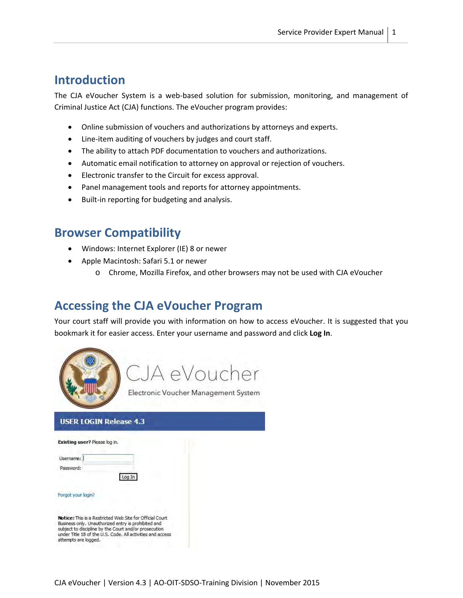### **Introduction**

The CJA eVoucher System is a web-based solution for submission, monitoring, and management of Criminal Justice Act (CJA) functions. The eVoucher program provides:

- Online submission of vouchers and authorizations by attorneys and experts.
- Line-item auditing of vouchers by judges and court staff.
- The ability to attach PDF documentation to vouchers and authorizations.
- Automatic email notification to attorney on approval or rejection of vouchers.
- Electronic transfer to the Circuit for excess approval.
- Panel management tools and reports for attorney appointments.
- Built-in reporting for budgeting and analysis.

## **Browser Compatibility**

- Windows: Internet Explorer (IE) 8 or newer
- Apple Macintosh: Safari 5.1 or newer
	- o Chrome, Mozilla Firefox, and other browsers may not be used with CJA eVoucher

### **Accessing the CJA eVoucher Program**

Your court staff will provide you with information on how to access eVoucher. It is suggested that you bookmark it for easier access. Enter your username and password and click **Log In**.



#### **USER LOGIN Release 4.3**

| Existing user? Please log in. |                                                                                                                                                                                                                                         |  |
|-------------------------------|-----------------------------------------------------------------------------------------------------------------------------------------------------------------------------------------------------------------------------------------|--|
| Username:                     |                                                                                                                                                                                                                                         |  |
| Password:                     |                                                                                                                                                                                                                                         |  |
|                               | Log In                                                                                                                                                                                                                                  |  |
| Forgot your login?            |                                                                                                                                                                                                                                         |  |
| attempts are logged.          | Notice: This is a Restricted Web Site for Official Court.<br>Business only. Unauthorized entry is prohibited and<br>subject to discipline by the Court and/or prosecution<br>under Title 18 of the U.S. Code. All activities and access |  |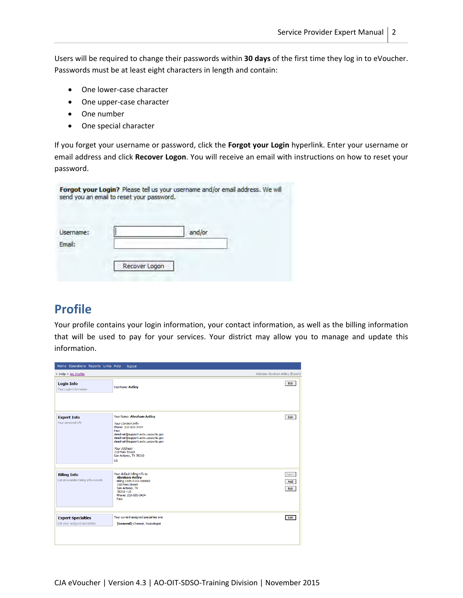Users will be required to change their passwords within **30 days** of the first time they log in to eVoucher. Passwords must be at least eight characters in length and contain:

- One lower-case character
- One upper-case character
- One number
- One special character

If you forget your username or password, click the **Forgot your Login** hyperlink. Enter your username or email address and click **Recover Logon**. You will receive an email with instructions on how to reset your password.

|                     | send you an email to reset your password. | Forgot your Login? Please tell us your username and/or email address. We will |  |
|---------------------|-------------------------------------------|-------------------------------------------------------------------------------|--|
| Username:<br>Email: |                                           | and/or                                                                        |  |
|                     | Recover Logon                             |                                                                               |  |

# **Profile**

Your profile contains your login information, your contact information, as well as the billing information that will be used to pay for your services. Your district may allow you to manage and update this information.

| Home Operations Reports Links Help                             | logout                                                                                                                                                                                                                                                                     |                                 |
|----------------------------------------------------------------|----------------------------------------------------------------------------------------------------------------------------------------------------------------------------------------------------------------------------------------------------------------------------|---------------------------------|
| > Help > My Profile                                            |                                                                                                                                                                                                                                                                            | Welcome Abraham Astley (Expert) |
| <b>Login Info</b><br>Your Login information                    | UserName Astley                                                                                                                                                                                                                                                            | Edit                            |
| <b>Expert Info</b><br>Your personal info                       | Your Name: Abraham Astley<br>Your Contact Info:<br>Phone: 210-555-3434<br>Fax:<br>deadmail@support.aotx.uscourts.gov<br>deadmail@support.aotx.uscourts.gov<br>deadmail@support.aotx.uscourts.gov<br>Your Address:<br>110 Main Street<br>San Antonio, TX 78210<br><b>US</b> | Edit                            |
| <b>Billing Info</b><br>List all available billing info records | Your default billing info is:<br><b>Abraham Astley</b><br>Billing Code: 0101-000002<br>110 Main Street<br>San Antonio, TX<br>78210 - US<br>Phone: 210-555-3434<br>Fax:                                                                                                     | Select<br>Add<br>Edit           |
| <b>Expert Specialties</b><br>List your assigned specialties    | Your current assigned specialties are:<br>[General]: Chemist, Toxicologist                                                                                                                                                                                                 | Edit                            |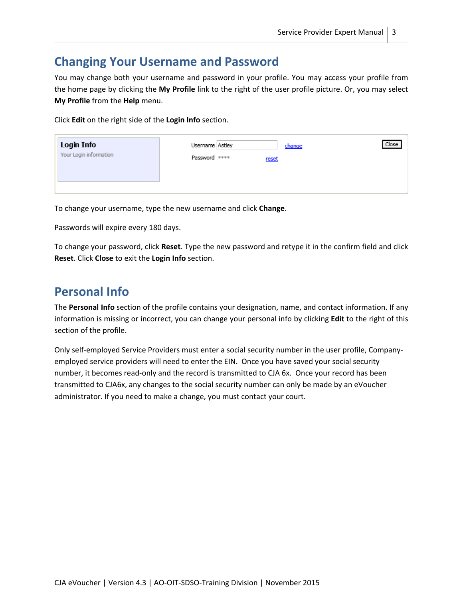## **Changing Your Username and Password**

You may change both your username and password in your profile. You may access your profile from the home page by clicking the **My Profile** link to the right of the user profile picture. Or, you may select **My Profile** from the **Help** menu.

Click **Edit** on the right side of the **Login Info** section.

| Login Info             | Username Astley |       | change | Close |
|------------------------|-----------------|-------|--------|-------|
| Your Login information | Password ****   | reset |        |       |
|                        |                 |       |        |       |
|                        |                 |       |        |       |

To change your username, type the new username and click **Change**.

Passwords will expire every 180 days.

To change your password, click **Reset**. Type the new password and retype it in the confirm field and click **Reset**. Click **Close** to exit the **Login Info** section.

# **Personal Info**

The **Personal Info** section of the profile contains your designation, name, and contact information. If any information is missing or incorrect, you can change your personal info by clicking **Edit** to the right of this section of the profile.

Only self‐employed Service Providers must enter a social security number in the user profile, Company‐ employed service providers will need to enter the EIN. Once you have saved your social security number, it becomes read-only and the record is transmitted to CJA 6x. Once your record has been transmitted to CJA6x, any changes to the social security number can only be made by an eVoucher administrator. If you need to make a change, you must contact your court.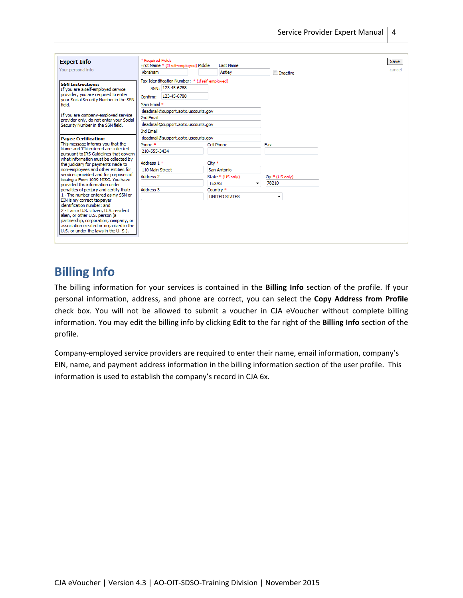| <b>Expert Info</b>                                                                                                                                                                                                                                                               | * Required Fields<br>First Name * (If self-employed) Middle                                                                                                                                                       | <b>Last Name</b>     | Save               |
|----------------------------------------------------------------------------------------------------------------------------------------------------------------------------------------------------------------------------------------------------------------------------------|-------------------------------------------------------------------------------------------------------------------------------------------------------------------------------------------------------------------|----------------------|--------------------|
| Your personal info                                                                                                                                                                                                                                                               | Abraham                                                                                                                                                                                                           | Astley               | cancel<br>Inactive |
| <b>SSN Instructions:</b><br>If you are a self-employed service<br>provider, you are required to enter<br>your Social Security Number in the SSN<br>field.<br>If you are company-employed service<br>provider only, do not enter your Social<br>Security Number in the SSN field. | Tax Identification Number: * (If self-employed)<br>SSN: 123-45-6788<br>Confirm: 123-45-6788<br>Main Email *<br>deadmail@support.aotx.uscourts.gov<br>2nd Email<br>deadmail@support.aotx.uscourts.gov<br>3rd Email |                      |                    |
| <b>Payee Certification:</b>                                                                                                                                                                                                                                                      | deadmail@support.aotx.uscourts.gov                                                                                                                                                                                |                      |                    |
| This message informs you that the<br>Name and TIN entered are collected                                                                                                                                                                                                          | Phone *                                                                                                                                                                                                           | Cell Phone           | Fax                |
| pursuant to IRS Guidelines that govern                                                                                                                                                                                                                                           | 210-555-3434                                                                                                                                                                                                      |                      |                    |
| what information must be collected by<br>the judiciary for payments made to                                                                                                                                                                                                      | Address 1 *                                                                                                                                                                                                       | City *               |                    |
| Inon-emplovees and other entities for                                                                                                                                                                                                                                            | 110 Main Street                                                                                                                                                                                                   | San Antonio          |                    |
| services provided and for purposes of                                                                                                                                                                                                                                            | Address <sub>2</sub>                                                                                                                                                                                              | State * (US only)    | Zip * (US only)    |
| lissuing a Form 1099-MISC. You have<br>provided this information under                                                                                                                                                                                                           |                                                                                                                                                                                                                   | <b>TEXAS</b><br>▼    | 78210              |
| penalties of perjury and certify that:                                                                                                                                                                                                                                           | Address 3                                                                                                                                                                                                         | Country <sup>*</sup> |                    |
| 1 - The number entered as my SSN or                                                                                                                                                                                                                                              |                                                                                                                                                                                                                   | <b>UNITED STATES</b> | ۰                  |
| EIN is my correct taxpayer<br>lidentification number: and<br>2 - I am a U.S. citizen, U.S. resident<br>alien, or other U.S. person (a<br>partnership, corporation, company, or<br>association created or organized in the<br>U.S. or under the laws in the U.S.).                |                                                                                                                                                                                                                   |                      |                    |

## **Billing Info**

The billing information for your services is contained in the **Billing Info** section of the profile. If your personal information, address, and phone are correct, you can select the **Copy Address from Profile** check box. You will not be allowed to submit a voucher in CJA eVoucher without complete billing information. You may edit the billing info by clicking **Edit** to the far right of the **Billing Info** section of the profile.

Company‐employed service providers are required to enter their name, email information, company's EIN, name, and payment address information in the billing information section of the user profile. This information is used to establish the company's record in CJA 6x.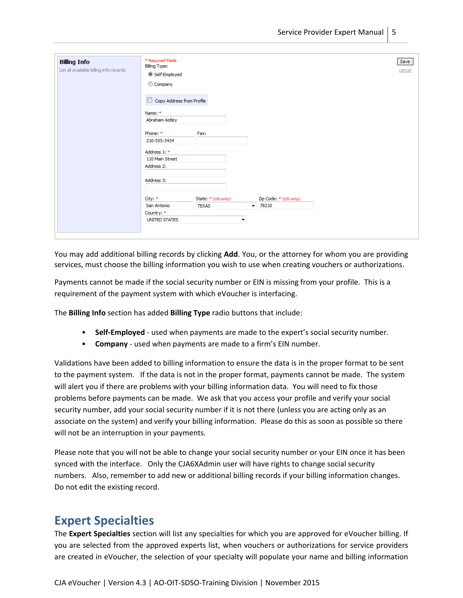| <b>Billing Info</b><br>List all available billing info records | * Required Fields<br><b>Billing Type:</b><br>Self-Employed<br>Company<br>Copy Address from Profile |                          |                       | Save<br>cancel |
|----------------------------------------------------------------|----------------------------------------------------------------------------------------------------|--------------------------|-----------------------|----------------|
|                                                                | Name: *                                                                                            |                          |                       |                |
|                                                                | Abraham Astley                                                                                     |                          |                       |                |
|                                                                | Phone: *                                                                                           | Fax:                     |                       |                |
|                                                                | 210-555-3434                                                                                       |                          |                       |                |
|                                                                | Address 1: *                                                                                       |                          |                       |                |
|                                                                | 110 Main Street                                                                                    |                          |                       |                |
|                                                                | Address 2:                                                                                         |                          |                       |                |
|                                                                | Address 3:                                                                                         |                          |                       |                |
|                                                                | City: *                                                                                            | State: * (US only)       | Zip Code: * (US only) |                |
|                                                                | San Antonio                                                                                        | <b>TEXAS</b>             | $-78210$              |                |
|                                                                | Country: *                                                                                         |                          |                       |                |
|                                                                | <b>UNITED STATES</b>                                                                               | $\overline{\phantom{a}}$ |                       |                |
|                                                                |                                                                                                    |                          |                       |                |

You may add additional billing records by clicking **Add**. You, or the attorney for whom you are providing services, must choose the billing information you wish to use when creating vouchers or authorizations.

Payments cannot be made if the social security number or EIN is missing from your profile. This is a requirement of the payment system with which eVoucher is interfacing.

The **Billing Info** section has added **Billing Type** radio buttons that include:

- **Self‐Employed** ‐ used when payments are made to the expert's social security number.
- **Company** ‐ used when payments are made to a firm's EIN number.

Validations have been added to billing information to ensure the data is in the proper format to be sent to the payment system. If the data is not in the proper format, payments cannot be made. The system will alert you if there are problems with your billing information data. You will need to fix those problems before payments can be made. We ask that you access your profile and verify your social security number, add your social security number if it is not there (unless you are acting only as an associate on the system) and verify your billing information. Please do this as soon as possible so there will not be an interruption in your payments.

Please note that you will not be able to change your social security number or your EIN once it has been synced with the interface. Only the CJA6XAdmin user will have rights to change social security numbers. Also, remember to add new or additional billing records if your billing information changes. Do not edit the existing record.

#### **Expert Specialties**

The **Expert Specialties** section will list any specialties for which you are approved for eVoucher billing. If you are selected from the approved experts list, when vouchers or authorizations for service providers are created in eVoucher, the selection of your specialty will populate your name and billing information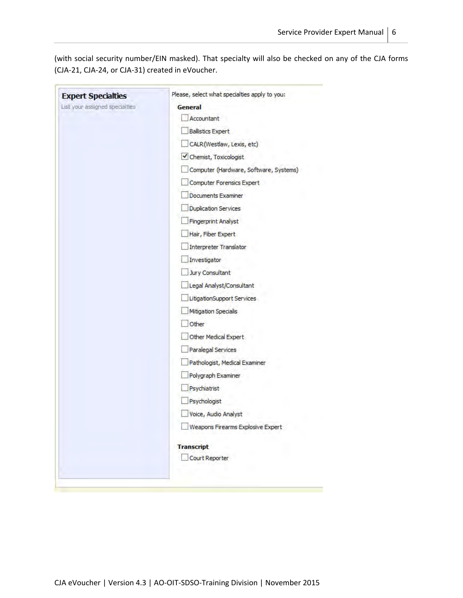(with social security number/EIN masked). That specialty will also be checked on any of the CJA forms (CJA‐21, CJA‐24, or CJA‐31) created in eVoucher.

| <b>Expert Specialties</b>      | Please, select what specialties apply to you: |
|--------------------------------|-----------------------------------------------|
| List your assigned specialties | General                                       |
|                                | Accountant                                    |
|                                | <b>Ballistics Expert</b>                      |
|                                | CALR(Westlaw, Lexis, etc)                     |
|                                | Chemist, Toxicologist                         |
|                                | Computer (Hardware, Software, Systems)        |
|                                | <b>Computer Forensics Expert</b>              |
|                                | <b>Documents Examiner</b>                     |
|                                | <b>Duplication Services</b>                   |
|                                | <b>Fingerprint Analyst</b>                    |
|                                | Hair, Fiber Expert                            |
|                                | <b>Interpreter Translator</b>                 |
|                                | Investigator                                  |
|                                | Jury Consultant                               |
|                                | Legal Analyst/Consultant                      |
|                                | LitigationSupport Services                    |
|                                | <b>Mitigation Specialis</b>                   |
|                                | Other                                         |
|                                | Other Medical Expert                          |
|                                | Paralegal Services                            |
|                                | Pathologist, Medical Examiner                 |
|                                | Polygraph Examiner                            |
|                                | Psychiatrist                                  |
|                                | Psychologist                                  |
|                                | Voice, Audio Analyst                          |
|                                | Weapons Firearms Explosive Expert             |
|                                | <b>Transcript</b>                             |
|                                | Court Reporter                                |

the state of the control of the control of the control of the control of the control of the control of the control of the control of the control of the control of the control of the control of the control of the control of

**Brown**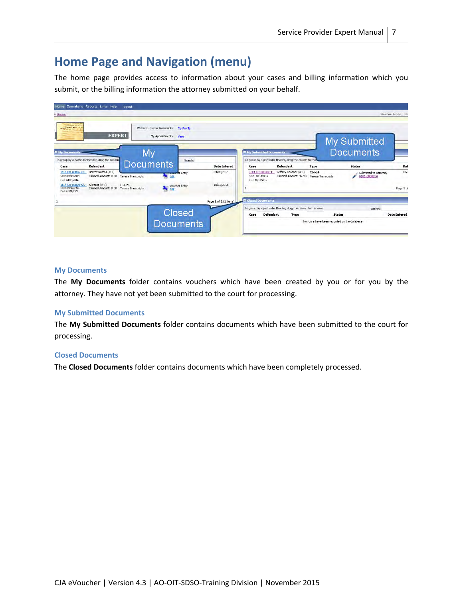# **Home Page and Navigation (menu)**

The home page provides access to information about your cases and billing information which you submit, or the billing information the attorney submitted on your behalf.

| > Home                                                                                                      | Home Operations Reports Links Help                                                                          | logout                                               |                                                                  |                            |                                                 |                                                                   |                                                                                              |                                               |                                                        | Welcome Tenesa Tran      |
|-------------------------------------------------------------------------------------------------------------|-------------------------------------------------------------------------------------------------------------|------------------------------------------------------|------------------------------------------------------------------|----------------------------|-------------------------------------------------|-------------------------------------------------------------------|----------------------------------------------------------------------------------------------|-----------------------------------------------|--------------------------------------------------------|--------------------------|
| specialistic RO of A<br>axpert ==                                                                           | <b>EXPERT</b>                                                                                               |                                                      | Welcome Teresa Transcripts:<br>My Appointments: View             | <b>My Profile</b>          |                                                 |                                                                   |                                                                                              |                                               | My Submitted                                           |                          |
| E My Documents                                                                                              | To group by a particular Header, drag the column                                                            | My<br><b>Documents</b>                               |                                                                  | Search:                    |                                                 |                                                                   | <b>El My Submitted Documents</b><br>To group by a particular Header, drag the column to this |                                               | <b>Documents</b>                                       |                          |
| Case<br>1:14-CR-08806-CC-<br>Start: 04/09/2014<br>End: 04/09/2014<br>1:14-CR-08809-AA-<br>Start: 01/01/1901 | <b>Defendant</b><br>Beatriz Ramos (#1)<br>Claimed Amount: 0.00<br>Al Perez $(\# 1)$<br>Claimed Amount: 0.00 | Teresa Transcripts<br>$CJA-24$<br>Teresa Transcripts | <b>Transporter Entry</b><br>Edit<br><b>Voucher Entry</b><br>Edit |                            | <b>Date Entered</b><br>04/09/2014<br>10/13/2015 | Case<br>1:13-CR-08810-FF-<br>Start: 10/13/2015<br>End: 10/13/2015 | <b>Defendant</b><br>Jeffrey Gardner (# 1)<br>Claimed Amount: 42.90                           | Type<br>$CJA-24$<br><b>Teresa Transcripts</b> | <b>Status</b><br>Submitted to Attorney<br>0101.0000034 | Dat<br>10/1<br>Page 1 of |
| End: 01/01/1901                                                                                             |                                                                                                             |                                                      |                                                                  |                            | Page 1 of 1 (2 items)                           | <b>El Closed Documents</b>                                        | To group by a particular Header, drag the column to this area.                               |                                               | Search:                                                |                          |
|                                                                                                             |                                                                                                             |                                                      |                                                                  | Closed<br><b>Documents</b> |                                                 | Case                                                              | <b>Defendant</b><br>Type                                                                     | No row's have been recorded on the database   | <b>Status</b>                                          | <b>Date Entered</b>      |

#### **My Documents**

The **My Documents** folder contains vouchers which have been created by you or for you by the attorney. They have not yet been submitted to the court for processing.

#### **My Submitted Documents**

The **My Submitted Documents** folder contains documents which have been submitted to the court for processing.

#### **Closed Documents**

The **Closed Documents** folder contains documents which have been completely processed.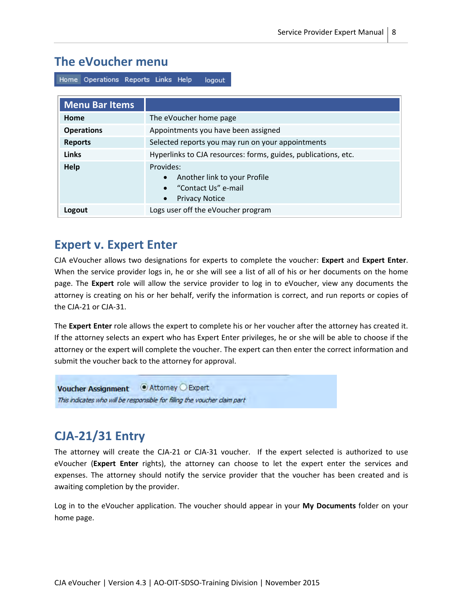## **The eVoucher menu**

Home Operations Reports Links Help logout

| <b>Menu Bar Items</b> |                                                                                                                       |
|-----------------------|-----------------------------------------------------------------------------------------------------------------------|
| Home                  | The eVoucher home page                                                                                                |
| <b>Operations</b>     | Appointments you have been assigned                                                                                   |
| <b>Reports</b>        | Selected reports you may run on your appointments                                                                     |
| <b>Links</b>          | Hyperlinks to CJA resources: forms, guides, publications, etc.                                                        |
| Help                  | Provides:<br>Another link to your Profile<br>$\bullet$<br>• "Contact Us" e-mail<br><b>Privacy Notice</b><br>$\bullet$ |
| Logout                | Logs user off the eVoucher program                                                                                    |

#### **Expert v. Expert Enter**

CJA eVoucher allows two designations for experts to complete the voucher: **Expert** and **Expert Enter**. When the service provider logs in, he or she will see a list of all of his or her documents on the home page. The **Expert** role will allow the service provider to log in to eVoucher, view any documents the attorney is creating on his or her behalf, verify the information is correct, and run reports or copies of the CJA‐21 or CJA‐31.

The **Expert Enter** role allows the expert to complete his or her voucher after the attorney has created it. If the attorney selects an expert who has Expert Enter privileges, he or she will be able to choose if the attorney or the expert will complete the voucher. The expert can then enter the correct information and submit the voucher back to the attorney for approval.

● Attorney ● Expert **Voucher Assignment** This indicates who will be responsible for filling the voucher claim part

# **CJA‐21/31 Entry**

The attorney will create the CJA-21 or CJA-31 voucher. If the expert selected is authorized to use eVoucher (**Expert Enter** rights), the attorney can choose to let the expert enter the services and expenses. The attorney should notify the service provider that the voucher has been created and is awaiting completion by the provider.

Log in to the eVoucher application. The voucher should appear in your **My Documents** folder on your home page.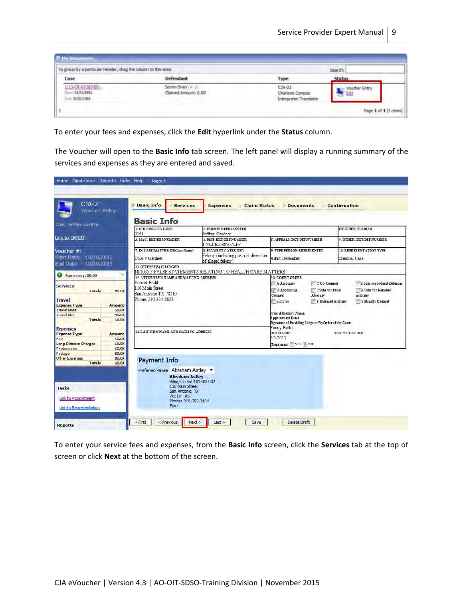| To group by a particular Header, drag the column to this area. |                                            |                                                       | Search:             |
|----------------------------------------------------------------|--------------------------------------------|-------------------------------------------------------|---------------------|
| Case                                                           | Defendant                                  | Type                                                  | <b>Status</b>       |
| 1:13-CR-07387-BB-<br>Store: 01/01/1901<br>Drill 01/01/1901     | Sevrin Brian (= 1)<br>Claimed Amount: 0.00 | $CIA-21$<br>Charlene Campos<br>Interpreter Translator | Vouicher Entr<br>61 |

To enter your fees and expenses, click the **Edit** hyperlink under the **Status** column.

The Voucher will open to the **Basic Info** tab screen. The left panel will display a running summary of the services and expenses as they are entered and saved.

| $CIA-21$<br>Voucher Entry                                                                                                                                                                                     | <b>Basic Info</b><br><b>Services</b>                                                                                                                                                      | <b>Claim Status</b><br><b>Expenses</b>                                                    | <b>Documents</b>                                                                                                                                                                                                                                                  | Confirmation                                                                        |
|---------------------------------------------------------------------------------------------------------------------------------------------------------------------------------------------------------------|-------------------------------------------------------------------------------------------------------------------------------------------------------------------------------------------|-------------------------------------------------------------------------------------------|-------------------------------------------------------------------------------------------------------------------------------------------------------------------------------------------------------------------------------------------------------------------|-------------------------------------------------------------------------------------|
| <b>Bei Jeffrey Gardner</b>                                                                                                                                                                                    | <b>Basic Info</b>                                                                                                                                                                         |                                                                                           |                                                                                                                                                                                                                                                                   |                                                                                     |
|                                                                                                                                                                                                               | <b>LCIR/DIST/DIVCODE</b><br>0101                                                                                                                                                          | 2. PERSON REPRESENTED<br>Jeffrey Gardner                                                  |                                                                                                                                                                                                                                                                   | <b>VOUCHER NUMBER</b>                                                               |
| Link to CM/ECF                                                                                                                                                                                                | 3. MAG. DKT/DEF.NUMBER                                                                                                                                                                    | <b>4. DIST. DKT/DEFNUMBER</b><br>1:13-CR-08810-1-FF                                       | 5. APPEALS, DKT/DEF NUMBER.                                                                                                                                                                                                                                       | <b>6. OTHER DKT/DEFNUMBER</b>                                                       |
| Voucher #:<br>Start Date:<br>10/30/2015<br>End Date:                                                                                                                                                          | 7. IN CASE/MATTER OF(Case Name)<br>USA v Gardner                                                                                                                                          | <b>8. PAYMENT CATEGORY</b><br>Felony (including pre-trial diversion<br>of alleged felony) | <b>9. TYPE PERSON REPRESENTED</b><br>Adult Defendant                                                                                                                                                                                                              | 10 REPRESENTATION TYPE<br>Criminal Case                                             |
| 10/30/2015                                                                                                                                                                                                    | 11. OFFENSE(S) CHARGED                                                                                                                                                                    | 18:1035 F FALSE STATEMENTS RELATING TO HEALTH CARE MATTERS                                |                                                                                                                                                                                                                                                                   |                                                                                     |
| <b>U</b> Summary: \$0.00<br><b>Services</b><br>\$0.00<br>Totals<br><b>Travel</b><br><b>Expense Type</b><br>Amount<br><b>Travel Miles</b><br>\$0.00<br><b>Travel Misc</b><br>\$0.00<br><b>Totals</b><br>\$0.00 | 12. ATTORNEY'S NAME AND MAILING ADDRESS<br>Forrest Fudd<br>110 Main Street<br>San Antonio TX 78210<br>Phone: 210-834-8823                                                                 |                                                                                           | 13. COURT ORDER<br>C Co-Counsel<br>A Associate<br>$\vee$ O Appointing<br>P Subs for Panel<br>Counsel<br>Attorney<br>T Retained Attorney<br>S Pro Se<br>Prior Attorney's Name<br><b>Appointment Dates</b><br>Signature of Presiding Judge or By Order of the Court | F Subs for Federal Defender<br>R Subs for Retained<br>Attorney<br>Y Standby Counsel |
| <b>Expenses</b><br><b>Expense Type</b><br><b>Amount</b><br>FAX<br>\$0.00<br>Long Distance Charges<br>\$0.00                                                                                                   | 14. LAW FIRMNAME AND MAILING ADDRESS                                                                                                                                                      |                                                                                           | Fanny Farkle<br>Date of Order<br>8/1/2013<br>Repayment VES VINO                                                                                                                                                                                                   | Nunc Pro Tunc Date                                                                  |
| \$0.00<br><b>Photocopies</b><br>Postage<br>\$0.00<br>Other Expenses<br>\$0.00<br><b>Totals</b><br>\$0.00<br>Tasks<br>Link to Appointment<br>Link to Representation                                            | Payment Info<br>Preferred Payee Abraham Astley<br><b>Abraham Astley</b><br>Billing Code: 0101-000002<br>110 Main Street<br>San Antonio, TX<br>$78210 - US$<br>Phone: 210-555-3434<br>Fax: |                                                                                           |                                                                                                                                                                                                                                                                   |                                                                                     |

To enter your service fees and expenses, from the **Basic Info** screen, click the **Services** tab at the top of screen or click **Next** at the bottom of the screen.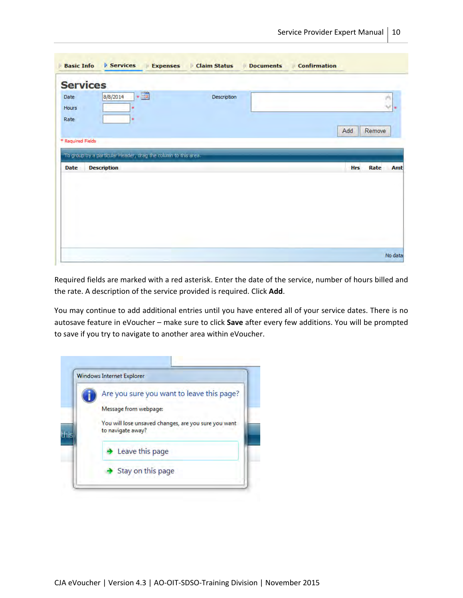| <b>Services</b>                                                                                     |             |                           |
|-----------------------------------------------------------------------------------------------------|-------------|---------------------------|
| $\cdot$ $\blacksquare$<br>8/8/2014<br>Date<br>Hours<br>×                                            | Description | of the<br>$\sim$<br>æ     |
| Rate<br>÷                                                                                           |             | Remove<br>Add             |
|                                                                                                     |             |                           |
| * Required Fields                                                                                   |             |                           |
| To group by a particular Header, drag the column to this area.<br><b>Description</b><br><b>Date</b> |             | <b>Hrs</b><br>Rate<br>Amt |
|                                                                                                     |             |                           |
|                                                                                                     |             |                           |
|                                                                                                     |             |                           |

Required fields are marked with a red asterisk. Enter the date of the service, number of hours billed and the rate. A description of the service provided is required. Click **Add**.

You may continue to add additional entries until you have entered all of your service dates. There is no autosave feature in eVoucher – make sure to click **Save** after every few additions. You will be prompted to save if you try to navigate to another area within eVoucher.

| <b>Windows Internet Explorer</b>                                          |
|---------------------------------------------------------------------------|
| Are you sure you want to leave this page?                                 |
| Message from webpage:                                                     |
| You will lose unsaved changes, are you sure you want<br>to navigate away? |
| $\rightarrow$ Leave this page                                             |
| Stay on this page                                                         |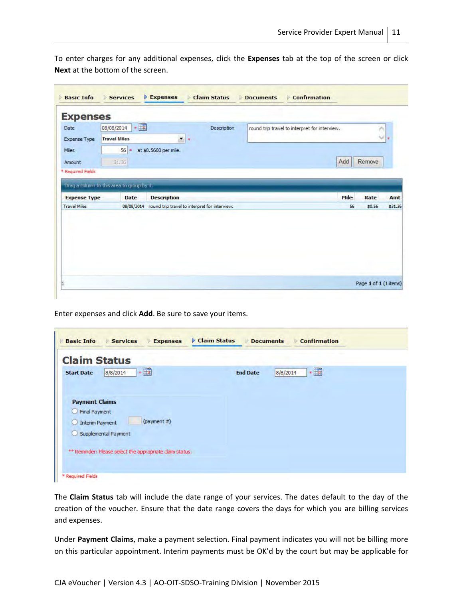To enter charges for any additional expenses, click the **Expenses** tab at the top of the screen or click **Next** at the bottom of the screen.

| <b>Expenses</b>     |                                            |                                                          |             |                                               |       |        |         |
|---------------------|--------------------------------------------|----------------------------------------------------------|-------------|-----------------------------------------------|-------|--------|---------|
| Date                | $\cdot$<br>08/08/2014                      |                                                          | Description | round trip travel to interpret for interview. |       |        |         |
| <b>Expense Type</b> | <b>Travel Miles</b>                        | $\bullet$                                                |             |                                               |       | ×      | 澪       |
| Miles               | 56                                         | at \$0.5600 per mile.                                    |             |                                               |       |        |         |
| Amount              | 31,36                                      |                                                          |             |                                               | Add   | Remove |         |
| * Required Fields   |                                            |                                                          |             |                                               |       |        |         |
|                     |                                            |                                                          |             |                                               |       |        |         |
|                     |                                            |                                                          |             |                                               |       |        |         |
|                     | Drag a column to this area to group by it. |                                                          |             |                                               |       |        |         |
| <b>Expense Type</b> | <b>Date</b>                                | <b>Description</b>                                       |             |                                               | Mile: | Rate   | Amt     |
|                     |                                            | 08/08/2014 round trip travel to interpret for interview. |             |                                               | 56    | \$0.56 |         |
|                     |                                            |                                                          |             |                                               |       |        |         |
| <b>Travel Miles</b> |                                            |                                                          |             |                                               |       |        |         |
|                     |                                            |                                                          |             |                                               |       |        | \$31.36 |
|                     |                                            |                                                          |             |                                               |       |        |         |
|                     |                                            |                                                          |             |                                               |       |        |         |
|                     |                                            |                                                          |             |                                               |       |        |         |

Enter expenses and click **Add**. Be sure to save your items.

| <b>Claim Status</b>           |                                                          |                 |                                               |  |
|-------------------------------|----------------------------------------------------------|-----------------|-----------------------------------------------|--|
| 8/8/2014<br><b>Start Date</b> | $\cdot$ $\blacksquare$                                   | <b>End Date</b> | $\bullet$<br>$\overline{\bullet}$<br>8/8/2014 |  |
| <b>Payment Claims</b>         |                                                          |                 |                                               |  |
| <b>Final Payment</b>          |                                                          |                 |                                               |  |
| <b>Interim Payment</b>        | (payment $#$ )                                           |                 |                                               |  |
| Supplemental Payment          |                                                          |                 |                                               |  |
|                               | ** Reminder: Please select the appropriate claim status. |                 |                                               |  |

The **Claim Status** tab will include the date range of your services. The dates default to the day of the creation of the voucher. Ensure that the date range covers the days for which you are billing services and expenses.

Under **Payment Claims**, make a payment selection. Final payment indicates you will not be billing more on this particular appointment. Interim payments must be OK'd by the court but may be applicable for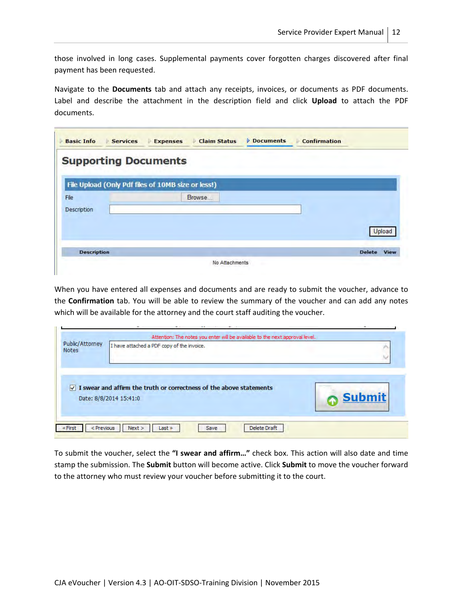those involved in long cases. Supplemental payments cover forgotten charges discovered after final payment has been requested.

Navigate to the **Documents** tab and attach any receipts, invoices, or documents as PDF documents. Label and describe the attachment in the description field and click **Upload** to attach the PDF documents.

| <b>Supporting Documents</b> |                                                    |        |
|-----------------------------|----------------------------------------------------|--------|
|                             | File Upload (Only Pdf files of 10MB size or less!) |        |
| File                        | Browse                                             |        |
| Description                 |                                                    |        |
|                             |                                                    |        |
|                             |                                                    | Upload |
|                             |                                                    |        |

When you have entered all expenses and documents and are ready to submit the voucher, advance to the **Confirmation** tab. You will be able to review the summary of the voucher and can add any notes which will be available for the attorney and the court staff auditing the voucher.

 $\mathbb{R}^2$ 

| Public/Attorney<br><b>Notes</b> | I have attached a PDF copy of the invoice.                                     |               |
|---------------------------------|--------------------------------------------------------------------------------|---------------|
|                                 | $\sqrt{ }$ I swear and affirm the truth or correctness of the above statements |               |
|                                 | Date: 8/8/2014 15:41:0                                                         | <b>Submit</b> |

To submit the voucher, select the **"I swear and affirm…"** check box. This action will also date and time stamp the submission. The **Submit** button will become active. Click **Submit** to move the voucher forward to the attorney who must review your voucher before submitting it to the court.